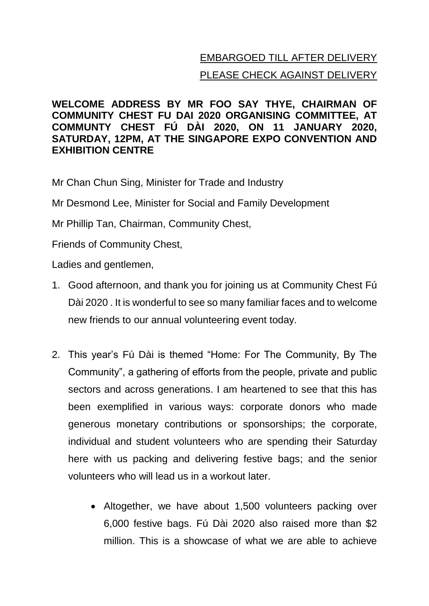## EMBARGOED TILL AFTER DELIVERY PLEASE CHECK AGAINST DELIVERY

## **WELCOME ADDRESS BY MR FOO SAY THYE, CHAIRMAN OF COMMUNITY CHEST FU DAI 2020 ORGANISING COMMITTEE, AT COMMUNTY CHEST FÚ DÀI 2020, ON 11 JANUARY 2020, SATURDAY, 12PM, AT THE SINGAPORE EXPO CONVENTION AND EXHIBITION CENTRE**

Mr Chan Chun Sing, Minister for Trade and Industry

Mr Desmond Lee, Minister for Social and Family Development

Mr Phillip Tan, Chairman, Community Chest,

Friends of Community Chest,

Ladies and gentlemen,

- 1. Good afternoon, and thank you for joining us at Community Chest Fú Dài 2020 . It is wonderful to see so many familiar faces and to welcome new friends to our annual volunteering event today.
- 2. This year's Fú Dài is themed "Home: For The Community, By The Community", a gathering of efforts from the people, private and public sectors and across generations. I am heartened to see that this has been exemplified in various ways: corporate donors who made generous monetary contributions or sponsorships; the corporate, individual and student volunteers who are spending their Saturday here with us packing and delivering festive bags; and the senior volunteers who will lead us in a workout later.
	- Altogether, we have about 1,500 volunteers packing over 6,000 festive bags. Fú Dài 2020 also raised more than \$2 million. This is a showcase of what we are able to achieve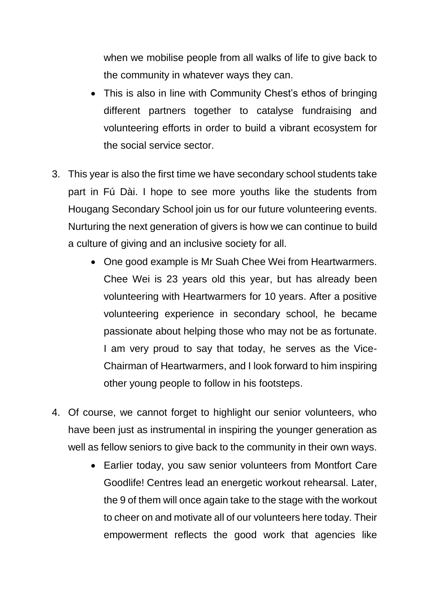when we mobilise people from all walks of life to give back to the community in whatever ways they can.

- This is also in line with Community Chest's ethos of bringing different partners together to catalyse fundraising and volunteering efforts in order to build a vibrant ecosystem for the social service sector.
- 3. This year is also the first time we have secondary school students take part in Fú Dài. I hope to see more youths like the students from Hougang Secondary School join us for our future volunteering events. Nurturing the next generation of givers is how we can continue to build a culture of giving and an inclusive society for all.
	- One good example is Mr Suah Chee Wei from Heartwarmers. Chee Wei is 23 years old this year, but has already been volunteering with Heartwarmers for 10 years. After a positive volunteering experience in secondary school, he became passionate about helping those who may not be as fortunate. I am very proud to say that today, he serves as the Vice-Chairman of Heartwarmers, and I look forward to him inspiring other young people to follow in his footsteps.
- 4. Of course, we cannot forget to highlight our senior volunteers, who have been just as instrumental in inspiring the younger generation as well as fellow seniors to give back to the community in their own ways.
	- Earlier today, you saw senior volunteers from Montfort Care Goodlife! Centres lead an energetic workout rehearsal. Later, the 9 of them will once again take to the stage with the workout to cheer on and motivate all of our volunteers here today. Their empowerment reflects the good work that agencies like